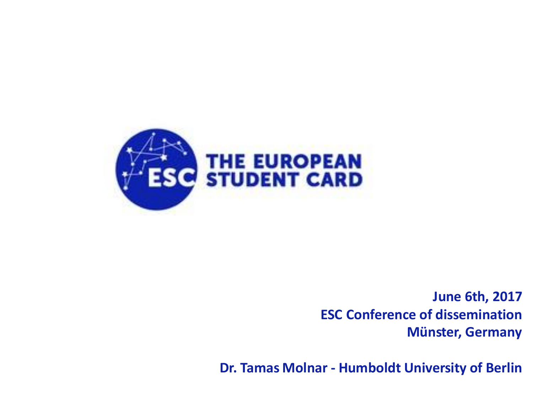

**June 6th, 2017 ESC Conference of dissemination Münster, Germany**

**Dr. Tamas Molnar - Humboldt University of Berlin**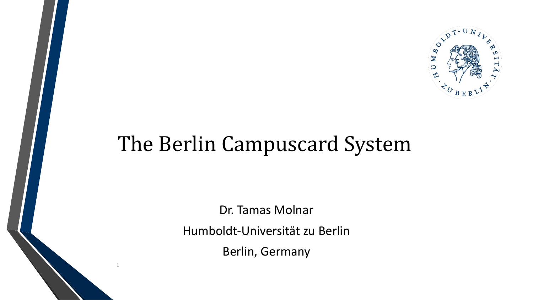

# The Berlin Campuscard System

Dr. Tamas Molnar Humboldt-Universität zu Berlin Berlin, Germany

1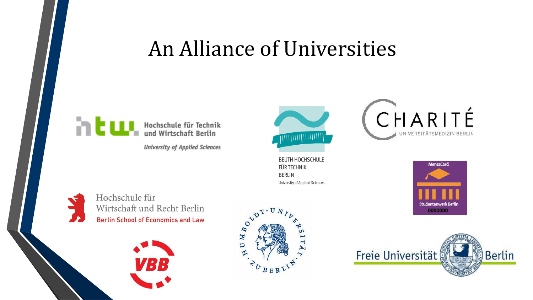## An Alliance of Universities



**University of Applied Sciences** 



**BEUTH HOCHSCHULE FÜR TECHNIK BERLIN University of Applied Sciences**  CHARITÉ UNIVERSITÄTSMEDIZIN BERLIN





Hochschule für Wirtschaft und Recht Berlin **Berlin School of Economics and Law** 





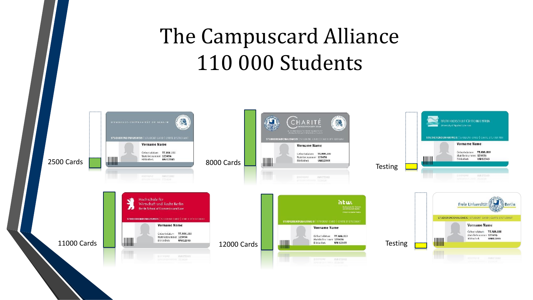# The Campuscard Alliance 110 000 Students

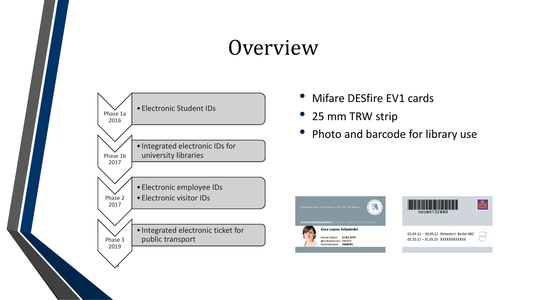## **Overview**



- Mifare DESfire EV1 cards
- 25 mm TRW strip
- Photo and barcode for library use



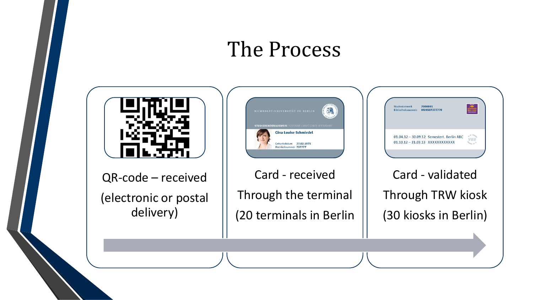### The Process



QR-code – received (electronic or postal delivery)



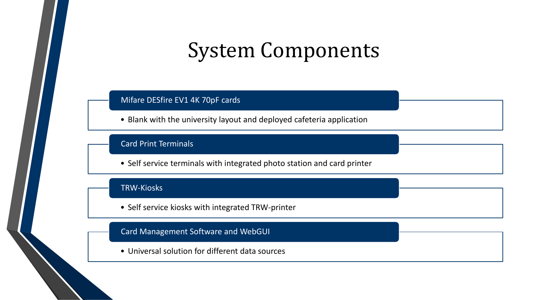## System Components

#### Mifare DESfire EV1 4K 70pF cards

• Blank with the university layout and deployed cafeteria application

#### Card Print Terminals

• Self service terminals with integrated photo station and card printer

#### TRW-Kiosks

• Self service kiosks with integrated TRW-printer

### Card Management Software and WebGUI

• Universal solution for different data sources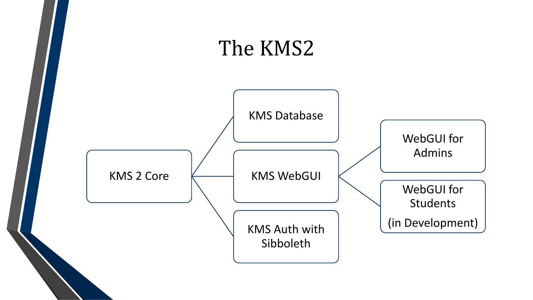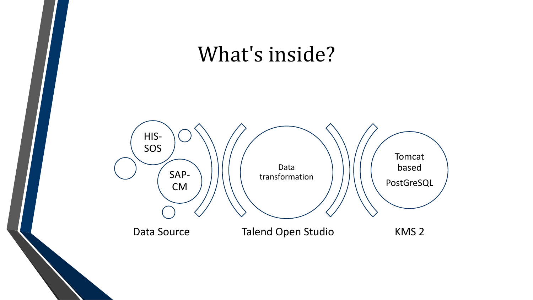# What's inside? Talend Open Studio KMS 2 Data transformation HIS-SOS SAP-CM Tomcat based PostGreSQL Data Source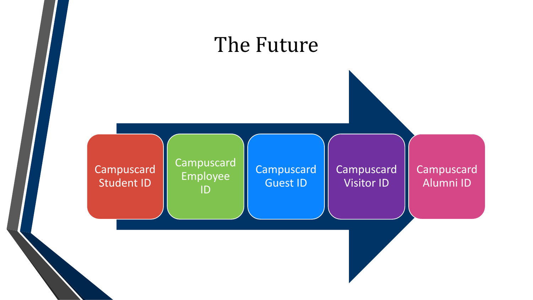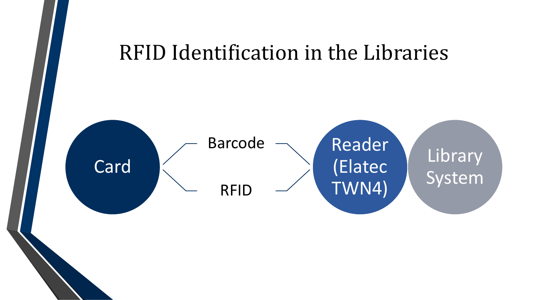## RFID Identification in the Libraries

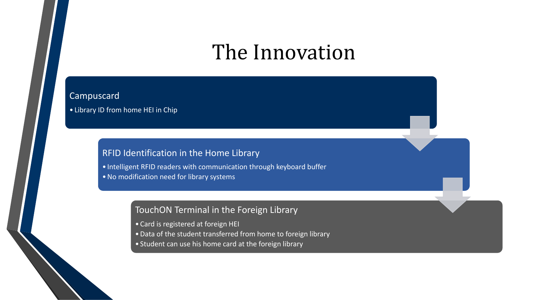## The Innovation

### Campuscard

• Library ID from home HEI in Chip

### RFID Identification in the Home Library

• Intelligent RFID readers with communication through keyboard buffer •No modification need for library systems

### TouchON Terminal in the Foreign Library

- Card is registered at foreign HEI
- •Data of the student transferred from home to foreign library
- Student can use his home card at the foreign library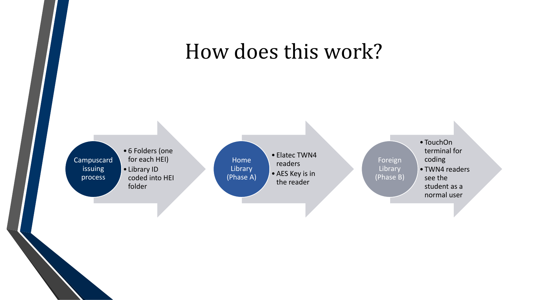## How does this work?

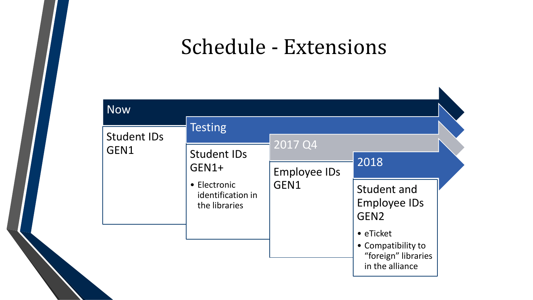## Schedule - Extensions